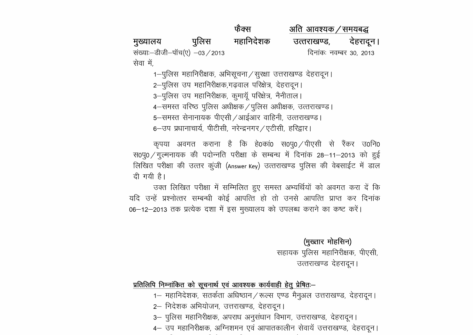|                                |       | फॅक्स                                                        | अति आवश्यक ⁄ समयबद्ध |                         |
|--------------------------------|-------|--------------------------------------------------------------|----------------------|-------------------------|
| मुख्यालय                       | पुलिस | महानिदेशक                                                    | उत्तराखण्ड,          | देहरादून                |
| संख्याः-डीजी-पॉच(ए) -03 / 2013 |       |                                                              |                      | दिनांकः नवम्बर 30, 2013 |
| सेवा में,                      |       |                                                              |                      |                         |
|                                |       | 1–पुलिस महानिरीक्षक, अभिसूचना / सुरक्षा उत्तराखण्ड देहरादून। |                      |                         |
|                                |       | 2-पुलिस उप महानिरीक्षक,गढ़वाल परिक्षेत्र, देहरादून।          |                      |                         |

3–पूलिस उप महानिरीक्षक, कुमायूॅ परिक्षेत्र, नैनीताल।

4-समस्त वरिष्ठ पुलिस अधीक्षक / पुलिस अधीक्षक, उत्तराखण्ड।

5-समस्त सेनानायक पीएसी /आईआर वाहिनी, उत्तराखण्ड।

6-उप प्रधानाचार्य, पीटीसी, नरेन्द्रनगर ⁄ एटीसी, हरिद्वार।

कृपया अवगत कराना है कि हे0कां0 स0पू0/पीएसी से रैंकर उ0नि0 स0पू0 / गुल्मनायक की पदोन्नति परीक्षा के सम्बन्ध में दिनांक 28-11-2013 को हुई लिखित परीक्षा की उत्तर कुंजी (Answer Key) उत्तराखण्ड पुलिस की वेबसाईट में डाल दी गयी है।

उक्त लिखित परीक्षा में सम्मिलित हुए समस्त अभ्यर्थियों को अवगत करा दें कि यदि उन्हें प्रश्नोत्तर सम्बन्धी कोई आपत्ति हो तो उनसे आपत्ति प्राप्त कर दिनांक 06-12-2013 तक प्रत्येक दशा में इस मुख्यालय को उपलब्ध कराने का कष्ट करें।

#### (मुख्तार मोहसिन)

सहायक पुलिस महानिरीक्षक, पीएसी, उत्तराखण्ड देहरादून।

प्रतिलिपि निम्नांकित को सूचनार्थ एवं आवश्यक कार्यवाही हेतू प्रेषितः–

- 1- महानिदेशक, सतर्कता अधिष्ठान / रूल्स एण्ड मैनुअल उत्तराखण्ड, देहरादून।
- 2– निदेशक अभियोजन, उत्तराखण्ड, देहरादून।
- 3– पुलिस महानिरीक्षक, अपराध अनुसंधान विभाग, उत्तराखण्ड, देहरादून।
- 4– उप महानिरीक्षक, अग्निशमन एवं आपातकालीन सेवायें उत्तराखण्ड, देहरादून।
	-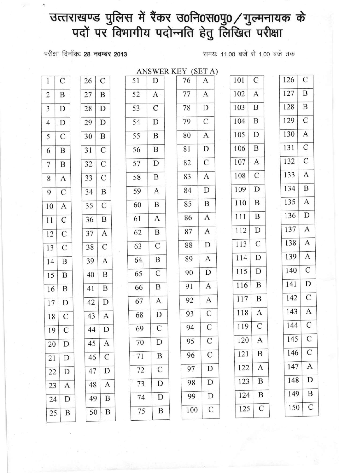## उत्तराखण्ड पुलिस में रैंकर उ०नि०स०पु० / गुल्मनायक के<br>पदों पर विभागीय पदोन्नति हेतु लिखित परीक्षा

परीक्षा दिनॉक: 28 नवम्बर 2013

 $\overline{C}$ 

B

D

D

 $\, {\bf B}$ 

 $\overline{C}$ 

 $\overline{C}$ 

 $\overline{C}$ 

 $\mathbf{B}$ 

 $\overline{C}$ 

 $\overline{B}$ 

 $\mathbf{A}$ 

 $\overline{C}$ 

 $\mathbf{A}$ 

 $\, {\bf B}$ 

 $\mathbf B$ 

 $\mathbf D$ 

A

D

 $\mathbf{A}$ 

 $\overline{C}$ 

D

 $\mathbf{A}$ 

 $\, {\bf B}$ 

 $\bf{B}$ 

47

48

49

50

समयः 11.00 बजे से 1.00 बजे तक

| $\,1$           |  | $\overline{C}$     |  | 26              |
|-----------------|--|--------------------|--|-----------------|
| $\sqrt{2}$      |  | $\overline{B}$     |  | 27              |
| 3               |  | D                  |  | 28              |
| $\overline{4}$  |  | D                  |  | 29              |
| 5               |  | $\overline{C}$     |  | 30              |
| $\overline{6}$  |  | B                  |  | $\overline{31}$ |
| $\overline{7}$  |  | $\overline{B}$     |  | 32              |
| 8               |  | $\overline{A}$     |  | $\overline{33}$ |
| 9               |  | $\overline{C}$     |  | 34              |
| 10              |  | $\overline{A}$     |  | 35              |
| 11              |  | $\overline{C}$     |  | 36              |
| 12              |  | $\overline{C}$     |  | 37              |
| 13              |  | $\overline{\rm C}$ |  | 38              |
| 14              |  | B                  |  | 39              |
| 15              |  | $\boldsymbol{B}$   |  | 40              |
| 16              |  | $\, {\bf B}$       |  | $\overline{41}$ |
| $\overline{17}$ |  | $\overline{D}$     |  | 42              |
| 18              |  | $\mathcal{C}$      |  | 43              |
| 19              |  | $\overline{C}$     |  | 44              |
| 20              |  | D                  |  | 45              |
| 21              |  | D                  |  | 46              |
| 22              |  | D                  |  | 47              |
| 23              |  | A                  |  | 48              |
| 24              |  | D                  |  | 49              |
| 25              |  | B                  |  | 50              |

| ANS WER                                                                                         |  |                |
|-------------------------------------------------------------------------------------------------|--|----------------|
| D                                                                                               |  |                |
| $\overline{A}$                                                                                  |  |                |
| $\overline{C}$                                                                                  |  |                |
| $\overline{D}$                                                                                  |  |                |
| $\overline{\mathbf{B}}$                                                                         |  |                |
| $\overline{B}$                                                                                  |  |                |
| $\overline{D}$                                                                                  |  |                |
| $\, {\bf B}$                                                                                    |  |                |
| $\overline{\mathbf{A}}$                                                                         |  |                |
| $\overline{B}$                                                                                  |  |                |
| A                                                                                               |  |                |
| $\overline{B}$<br>$\overline{C}$<br>$\overline{\mathbf{B}}$<br>$\overline{C}$<br>$\overline{B}$ |  |                |
|                                                                                                 |  | $\mathbf{A}$   |
|                                                                                                 |  | $\overline{D}$ |
|                                                                                                 |  | $\overline{C}$ |
|                                                                                                 |  | D              |
| $\boldsymbol{B}$                                                                                |  |                |
| $\overline{C}$                                                                                  |  |                |
| D                                                                                               |  |                |
| D                                                                                               |  |                |
|                                                                                                 |  |                |
|                                                                                                 |  |                |

| KEY (SET A) |                         |
|-------------|-------------------------|
| 76          | $\mathbf{A}$            |
| 77          | $\overline{A}$          |
| 78          | $\overline{D}$          |
| 79          | $\overline{C}$          |
| 80          | $\overline{A}$          |
| 81          | $\overline{D}$          |
| 82          | $\overline{\mathrm{C}}$ |
| 83          | $\overline{A}$          |
| 84          | $\overline{D}$          |
| 85          | $\, {\bf B}$            |
| 86          | $\boldsymbol{A}$        |
| 87          | $\overline{A}$          |
| 88          | $\overline{D}$          |
| 89          | $\overline{A}$          |
| 90          | $\overline{D}$          |
| 91          | A                       |
| 92          | $\overline{A}$          |
| 93          | $\overline{C}$          |
| 94          | $\mathcal{C}$           |
| 95          | $\mathcal{C}$           |
| 96          | $\overline{C}$          |
| 97          | D                       |
| 98          | $\overline{\mathbf{D}}$ |
| 99          | D                       |
| 100         | $\overline{C}$          |

| 101              | C                |
|------------------|------------------|
| 102              | A                |
| 103              | B                |
| 104              | $\boldsymbol{B}$ |
| 105              | D                |
| 106              | B                |
| 107              | $\overline{A}$   |
| 108              | $\overline{C}$   |
| 109              | $\overline{D}$   |
| 110              | $\overline{B}$   |
| 111              | B                |
| 112              | $\overline{D}$   |
| 113              | $\overline{C}$   |
| 114              | D                |
| 115              | D                |
| 116              | $\boldsymbol{B}$ |
| $\overline{117}$ | $\mathbf B$      |
| 118              | A                |
| 119              | $\subset$        |
| 120              | A                |
| 121              | B                |
| 122              | $\overline{A}$   |
| 123              | B                |
| 124              | B                |
| 125              | $\overline{C}$   |

| 126              | $\overline{C}$ |
|------------------|----------------|
| 127              | $\mathbf B$    |
| 128              | $\overline{B}$ |
| 129              | $\overline{C}$ |
| 130              | $\overline{A}$ |
| 131              | $\overline{C}$ |
| 132              | $\overline{C}$ |
| 133              | $\overline{A}$ |
| 134              | $\overline{B}$ |
| 135              | $\overline{A}$ |
| 136              | $\overline{D}$ |
| 137              | $\overline{A}$ |
| 138              | $\overline{A}$ |
| 139              | $\overline{A}$ |
| $\overline{140}$ | $\overline{C}$ |
| $\overline{141}$ | $\overline{D}$ |
| 142              | $\overline{C}$ |
| $\frac{143}{3}$  | $\overline{A}$ |
| 144              | $\overline{C}$ |
| 145              | $\bar{C}$      |
| 146              | $\overline{C}$ |
| 147              | $\overline{A}$ |
| 148              | D              |
| 149              | B              |
| 150              | Ċ              |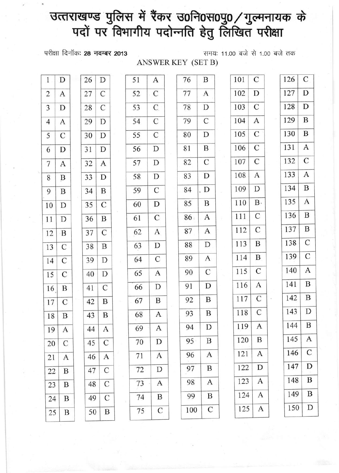### उत्तराखण्ड पुलिस में रैंकर उ०नि०स०पु० / गुल्मनायक के<br>पदों पर विभागीय पदोन्नति हेतु लिखित परीक्षा

ANSWER KEY (SET B)

परीक्षा दिनॉक: 28 नवम्बर 2013

D

 $\mathcal{C}$ 

 $\mathcal{C}$ 

D

D

D

 $\mathbf{A}$ 

D

 $\bf{B}$ 

 $\mathbf C$ 

 $\mathbf B$ 

 $\overline{C}$ 

B

 $D$ 

D

 $\overline{C}$ 

 $\, {\bf B}$ 

 $\bf{B}$ 

A

 $\overline{\text{C}}$ 

 $\mathbf{A}$ 

 $\mathcal{C}$ 

 $\overline{C}$ 

 $\overline{C}$ 

 $\mathbf B$ 

48

49

50

समयः 11.00 बजे से 1.00 बजे तक

 ${\rm D}$  $\mathbf{1}$ 26  $\overline{2}$  $\mathbf{A}$ 27 3 D 28  $\overline{4}$  $\mathbf{A}$ 29  $\mathbf C$ 5 30 6 D 31  $\boldsymbol{7}$ 32 A 8  $\, {\bf B}$ 33 9  $\boldsymbol{B}$ 34 10 D 35  $11$ 36 D 12 B 37  $\overline{C}$ 13 38  $\mathcal{C}$ 39 14  $\mathcal{C}$ 40 15 41 16  $\mathbf B$ 42 17  $\mathcal{C}$ 43 B 18 44 19 A  $\mathcal{C}$ 45 20 46  $\mathbf{A}$ 21 47 22 B

B

B

B

23

24

25

| 51              | $\overline{A}$          |
|-----------------|-------------------------|
| 52              | $\overline{C}$          |
| 53              | $\overline{C}$          |
| $\overline{54}$ | $\overline{C}$          |
| 55              | $\overline{C}$          |
| $\overline{56}$ | $\overline{D}$          |
| $\overline{57}$ | $\overline{D}$          |
| 58              | ${\bf D}$               |
| 59              | $\mathcal{C}$           |
| 60              | $\overline{D}$          |
| $\overline{61}$ | $\overline{\mathrm{C}}$ |
| 62              | $\overline{A}$          |
| $\overline{63}$ | $\overline{D}$          |
| 64              | $\overline{C}$          |
| 65              | $\overline{A}$          |
| 66              | $\overline{D}$          |
| 67              | $\overline{B}$          |
| 68              | A                       |
| 69              | A                       |
| $\overline{70}$ | $\bar{D}$               |
| $\overline{71}$ | A                       |
| 72              | $\overline{\mathbf{D}}$ |
| 73              | $\overline{A}$          |
| 74              | B                       |
| 75              | $\overline{C}$          |

| 76              |  | B                       |  |
|-----------------|--|-------------------------|--|
| 77              |  | $\overline{A}$          |  |
| 78              |  | $\overline{\mathbf{D}}$ |  |
| 79              |  | $\overline{C}$          |  |
|                 |  |                         |  |
| 80              |  | D                       |  |
| 81              |  | B                       |  |
| 82              |  | $\overline{C}$          |  |
| 83              |  | $\overline{D}$          |  |
| 84              |  | $\overline{D}$          |  |
| 85              |  | $\, {\bf B}$            |  |
| 86              |  | $\mathbf{A}$            |  |
| 87              |  | $\overline{A}$          |  |
| 88              |  | $\overline{\text{D}}$   |  |
| 89              |  | $\mathbf{A}$            |  |
| 90              |  | $\overline{C}$          |  |
| 91              |  | ${\rm D}$               |  |
| 92              |  | $\mathbf B$             |  |
| 93              |  | B                       |  |
| 94              |  | D                       |  |
| 95              |  | $\, {\bf B}$            |  |
| $\overline{96}$ |  | $\overline{A}$          |  |
| 97              |  | $\overline{\mathbf{B}}$ |  |
| 98              |  | A                       |  |
| 99              |  | B                       |  |
| 100             |  | C                       |  |

| 101              | $\overline{C}$     |
|------------------|--------------------|
| 102              | D                  |
| 103              | $\overline{C}$     |
| 104              | $\overline{A}$     |
| 105              | $\overline{C}$     |
| 106              | $\overline{C}$     |
| 107              | $\overline{C}$     |
| 108              | $\mathbf{A}$       |
| 109              | $\overline{D}$     |
| $\overline{110}$ | $\overline{B}$     |
| $\overline{111}$ | $\overline{C}$     |
| 112              | $\overline{\rm c}$ |
| $\overline{113}$ | $\overline{B}$     |
| 114              | $\overline{B}$     |
| $\overline{115}$ | $\overline{C}$     |
| $\overline{116}$ | $\overline{A}$     |
| $\overline{117}$ | $\overline{C}$     |
| 118              | $\overline{C}$     |
| 119              | A                  |
| 120              | B                  |
| 121              | A                  |
| 122              | D                  |
| 123              | А                  |
| 124              |                    |
| 125              |                    |

| 126              | $\overline{C}$ |
|------------------|----------------|
| 127              | D              |
| 128              | D              |
| 129              | B              |
| 130              | $\mathbf{B}$   |
| 131              | $\overline{A}$ |
| 132              | $\overline{C}$ |
| 133              | A              |
| 134              | $\mathbf B$    |
| 135              | $\overline{A}$ |
| 136              | B              |
| 137              | B              |
| 138              | $\overline{C}$ |
| 139              | $\overline{C}$ |
| 140              | $\overline{A}$ |
| 141              | B              |
| $\overline{142}$ | $\overline{B}$ |
| 143              | $\overline{D}$ |
| 144              | B              |
| 145              |                |
| 146              | $\overline{C}$ |
| 147              | D              |
| 148              | B              |
| 149              | B              |
| 150              | D              |
|                  |                |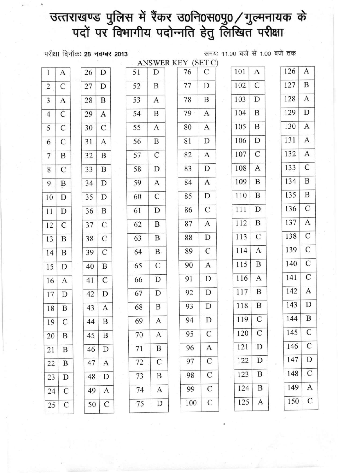# उत्तराखण्ड पुलिस में रैंकर उ0नि0स0पु0 / गुल्मनायक के<br>पदों पर विभागीय पदोन्नति हेतु लिखित परीक्षा

#### परीक्षा दिनॉक: 28 नवम्बर 20

26

27

28

29

30

 $31$ 

32

33

34

35

36

37

38

39

40

41

42

43

44

45

46

47

48

49

50

D

D

 $\mathbf{B}$ 

 $\mathbf{A}$ 

 $\overline{C}$ 

 $\mathbf{A}$ 

 $\boldsymbol{B}$ 

 $\mathbf{B}$ 

D

D

 $\boldsymbol{B}$ 

 $\overline{C}$ 

 $\overline{C}$ 

 ${\bf C}$ 

 $\mathbf B$ 

 $\mathcal{C}$ 

 ${\bf D}$ 

 $\mathbf{A}$ 

 $\mathbf B$ 

 $\mathbf B$ 

 $\mathbf D$ 

 $\mathbf{A}$ 

 $\mathbf D$ 

A

 $\overline{C}$ 

समयः 11.00 बजे से 1.00 बजे तक

| $\mathbf{1}$       | Α                         |
|--------------------|---------------------------|
| $\overline{2}$     | $\overline{\overline{C}}$ |
|                    | $\overline{A}$            |
| $\overline{4}$     | $\overline{\rm C}$        |
| $\overline{5}$     | $\overline{C}$            |
| $\overline{6}$     | $\overline{\rm C}$        |
| $\overline{7}$     | $\overline{B}$            |
| $\overline{\bf 8}$ | $\overline{C}$            |
| $\overline{9}$     | $\overline{B}$            |
| $\overline{10}$    | $\overline{D}$            |
| $\overline{11}$    | $\overline{D}$            |
| $\overline{12}$    | $\overline{C}$            |
| $\overline{13}$    | $\overline{B}$            |
| $\overline{14}$    | $\overline{B}$            |
| $\overline{15}$    | $\overline{\text{D}}$     |
| $\overline{16}$    | $\overline{A}$            |
| $\overline{17}$    | $\overline{D}$            |
| $\overline{18}$    | $\overline{B}$            |
| 19                 | $\overline{C}$            |
| 20                 | B                         |
| $\overline{21}$    | B                         |
| 22                 | $\overline{B}$            |
| $\overline{23}$    | ${\rm D}$                 |
| $\overline{24}$    | $\overline{C}$            |
| $\overline{25}$    | $\overline{C}$            |

| 013 |                 |                         |  |
|-----|-----------------|-------------------------|--|
|     |                 | <b>ANSWER KE</b>        |  |
|     | 51              | D                       |  |
|     | 52              | B                       |  |
|     | 53              | $\overline{A}$          |  |
|     | $\overline{54}$ | $\overline{B}$          |  |
|     | 55              | $\overline{A}$          |  |
|     | 56              | $\overline{B}$          |  |
|     | 57              | $\overline{C}$          |  |
|     | 58              | $\overline{\mathsf{D}}$ |  |
|     | 59              | A                       |  |
|     | 60              | $\overline{C}$          |  |
|     | 61              | D                       |  |
|     | 62              | B                       |  |
|     | 63              | B                       |  |
|     | 64              | $\overline{B}$          |  |
|     | 65              | $\overline{C}$          |  |
|     | 66              | $\overline{D}$          |  |
|     | 67              | D                       |  |
|     | 68              | B                       |  |
|     | 69              | $\mathbf{A}$            |  |
|     | 70              | $\mathbf{A}$            |  |
|     | 71              | B                       |  |
|     | $\overline{72}$ | $\overline{C}$          |  |
|     | 73              | $\overline{\mathbf{B}}$ |  |
|     | 74              | A                       |  |
|     | $\overline{75}$ | $\overline{\mathbf{D}}$ |  |
|     |                 |                         |  |

| $\frac{EY(SETC)}{76 C }$ |  |                         |  |
|--------------------------|--|-------------------------|--|
|                          |  |                         |  |
| $\overline{77}$          |  | D                       |  |
| 78                       |  | B                       |  |
| 79                       |  | $\mathbf{A}$            |  |
| 80                       |  | $\overline{A}$          |  |
| 81                       |  | D                       |  |
| 82                       |  | $\overline{A}$          |  |
| 83                       |  | $\overline{D}$          |  |
| 84                       |  | $\overline{A}$          |  |
| 85                       |  | $\overline{D}$          |  |
| 86                       |  | $\overline{C}$          |  |
| 87                       |  | $\overline{A}$          |  |
| 88                       |  | $\overline{D}$          |  |
| 89                       |  | $\mathcal{C}$           |  |
| 90                       |  | $\overline{A}$          |  |
| 91                       |  | D                       |  |
| 92                       |  | D                       |  |
| 93                       |  | D                       |  |
| 94                       |  | D                       |  |
| $\overline{95}$          |  | $\overline{\mathrm{C}}$ |  |
| 96                       |  | $\overline{A}$          |  |
| 97                       |  | $\overline{\rm c}$      |  |
| 98                       |  | $\overline{C}$          |  |
| 99                       |  | $\overline{C}$          |  |
| 100                      |  | $\overline{C}$          |  |

| $\overline{01}$  | A                  |
|------------------|--------------------|
| $\overline{02}$  | $\overline{C}$     |
| $\overline{03}$  | $\overline{D}$     |
| $\overline{04}$  | $\mathbf B$        |
| $\overline{05}$  | $\overline{B}$     |
| $\overline{106}$ | $\overline{D}$     |
| $\overline{107}$ | $\overline{C}$     |
| 108              | $\overline{A}$     |
| $\overline{109}$ | $\overline{B}$     |
| $\overline{110}$ | $\overline{B}$     |
| $\overline{111}$ | $\overline{D}$     |
| $\overline{112}$ | $\mathbf{B}$       |
| 113              | $\overline{\rm C}$ |
| $\overline{114}$ | $\mathbf{A}$       |
| $\overline{115}$ | $\mathbf{B}$       |
| 116              | A                  |
| 117              | $\mathbf B$        |
| 118              | B                  |
| 119              | $\overline{C}$     |
| 120              | $\overline{C}$     |
| 121              | $\mathbf D$        |
| 122              | D                  |
| 123              | B                  |
| 124              | B                  |
| $\overline{125}$ | A                  |
|                  |                    |

| 126              | $\overline{A}$     |
|------------------|--------------------|
| $\overline{127}$ | $\mathbf{B}$       |
| 128              | $\overline{A}$     |
| 129              | D                  |
| $\overline{130}$ | $\overline{A}$     |
| 131              | $\overline{A}$     |
| 132              | $\overline{A}$     |
| 133              | $\overline{C}$     |
| 134              | $\bar{\mathbf{B}}$ |
| 135              | $\overline{B}$     |
| 136              | $\overline{C}$     |
| 137              | $\overline{A}$     |
| 138              | $\overline{C}$     |
| 139              | $\overline{C}$     |
| 140              | $\overline{C}$     |
| $\overline{141}$ | $\overline{C}$     |
| $\overline{142}$ | $\overline{A}$     |
| $\overline{143}$ | D                  |
| 144              | B                  |
| 145              | $\overline{C}$     |
| 146              | $\overline{C}$     |
| 147              | D                  |
| 148              | $\overline{C}$     |
| 149              | A                  |
| $\overline{150}$ | $\overline{C}$     |